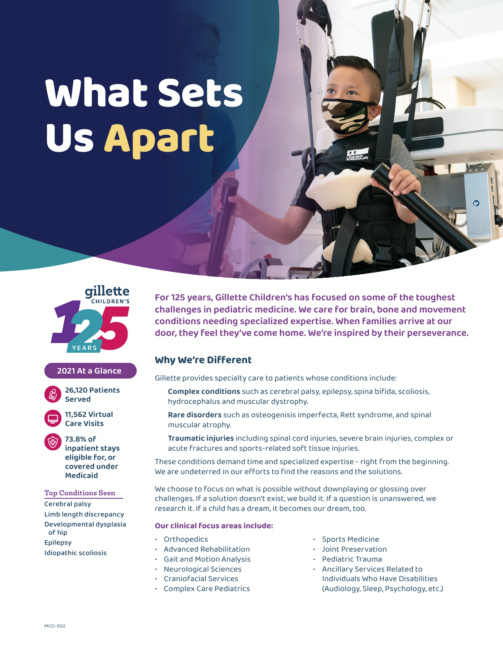# **What Sets Us Apart**



## **2021 At a Glance**



**11,562 Virtual Care Visits**

**73.8% of inpatient stays eligible for, or covered under Medicaid**

### **Top Conditions Seen**

Cerebral palsy Limb length discrepancy Developmental dysplasia of hip Epilepsy Idiopathic scoliosis

**For 125 years, Gillette Children's has focused on some of the toughest challenges in pediatric medicine. We care for brain, bone and movement conditions needing specialized expertise. When families arrive at our door, they feel they've come home. We're inspired by their perseverance.**

# **Why We're Different**

Gillette provides specialty care to patients whose conditions include:

**Complex conditions** such as cerebral palsy, epilepsy, spina bifida, scoliosis, hydrocephalus and muscular dystrophy.

**Rare disorders** such as osteogenisis imperfecta, Rett syndrome, and spinal muscular atrophy.

**Traumatic injuries** including spinal cord injuries, severe brain injuries, complex or acute fractures and sports-related soft tissue injuries.

These conditions demand time and specialized expertise - right from the beginning. We are undeterred in our efforts to find the reasons and the solutions.

We choose to focus on what is possible without downplaying or glossing over challenges. If a solution doesn't exist, we build it. If a question is unanswered, we research it. If a child has a dream, it becomes our dream, too.

### **Our clinical focus areas include:**

- Orthopedics
- Advanced Rehabilitation
- Gait and Motion Analysis
- Neurological Sciences
- Craniofacial Services
- Complex Care Pediatrics
- Sports Medicine
- Joint Preservation
- Pediatric Trauma
- Ancillary Services Related to Individuals Who Have Disabilities (Audiology, Sleep, Psychology, etc.)